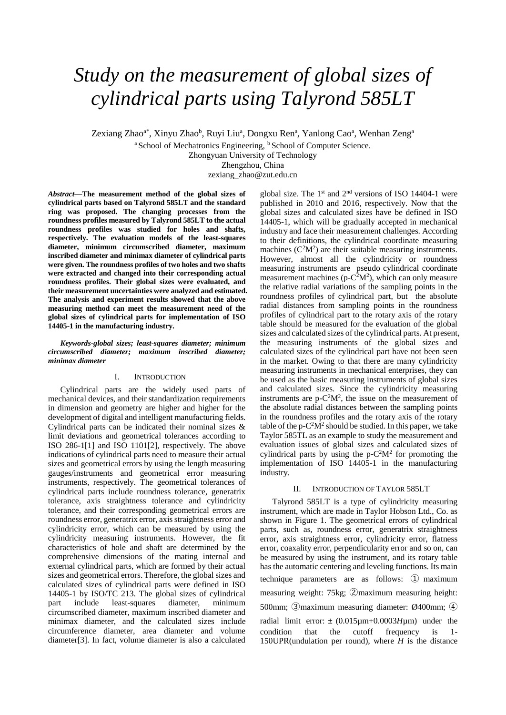# *Study on the measurement of global sizes of cylindrical parts using Talyrond 585LT*

Zexiang Zhao<sup>a\*</sup>, Xinyu Zhao<sup>b</sup>, Ruyi Liu<sup>a</sup>, Dongxu Ren<sup>a</sup>, Yanlong Cao<sup>a</sup>, Wenhan Zeng<sup>a</sup>

<sup>a</sup> School of Mechatronics Engineering, <sup>b</sup> School of Computer Science.

Zhongyuan University of Technology

Zhengzhou, China

zexiang\_zhao@zut.edu.cn

*Abstract***—The measurement method of the global sizes of cylindrical parts based on Talyrond 585LT and the standard ring was proposed. The changing processes from the roundness profiles measured by Talyrond 585LT to the actual roundness profiles was studied for holes and shafts, respectively. The evaluation models of the least-squares diameter, minimum circumscribed diameter, maximum inscribed diameter and minimax diameter of cylindrical parts were given. The roundness profiles of two holes and two shafts were extracted and changed into their corresponding actual roundness profiles. Their global sizes were evaluated, and their measurement uncertainties were analyzed and estimated. The analysis and experiment results showed that the above measuring method can meet the measurement need of the global sizes of cylindrical parts for implementation of ISO 14405-1 in the manufacturing industry.**

*Keywords-global sizes; least-squares diameter; minimum circumscribed diameter; maximum inscribed diameter; minimax diameter*

#### I. INTRODUCTION

Cylindrical parts are the widely used parts of mechanical devices, and their standardization requirements in dimension and geometry are higher and higher for the development of digital and intelligent manufacturing fields. Cylindrical parts can be indicated their nominal sizes & limit deviations and geometrical tolerances according to ISO 286-1[1] and ISO 1101[2], respectively. The above indications of cylindrical parts need to measure their actual sizes and geometrical errors by using the length measuring gauges/instruments and geometrical error measuring instruments, respectively. The geometrical tolerances of cylindrical parts include roundness tolerance, generatrix tolerance, axis straightness tolerance and cylindricity tolerance, and their corresponding geometrical errors are roundness error, generatrix error, axis straightness error and cylindricity error, which can be measured by using the cylindricity measuring instruments. However, the fit characteristics of hole and shaft are determined by the comprehensive dimensions of the mating internal and external cylindrical parts, which are formed by their actual sizes and geometrical errors. Therefore, the global sizes and calculated sizes of cylindrical parts were defined in ISO 14405-1 by ISO/TC 213. The global sizes of cylindrical part include least-squares diameter, minimum circumscribed diameter, maximum inscribed diameter and minimax diameter, and the calculated sizes include circumference diameter, area diameter and volume diameter[3]. In fact, volume diameter is also a calculated

global size. The  $1<sup>st</sup>$  and  $2<sup>nd</sup>$  versions of ISO 14404-1 were published in 2010 and 2016, respectively. Now that the global sizes and calculated sizes have be defined in ISO 14405-1, which will be gradually accepted in mechanical industry and face their measurement challenges. According to their definitions, the cylindrical coordinate measuring machines  $(C<sup>2</sup>M<sup>2</sup>)$  are their suitable measuring instruments. However, almost all the cylindricity or roundness measuring instruments are pseudo cylindrical coordinate measurement machines ( $p - C^2M^2$ ), which can only measure the relative radial variations of the sampling points in the roundness profiles of cylindrical part, but the absolute radial distances from sampling points in the roundness profiles of cylindrical part to the rotary axis of the rotary table should be measured for the evaluation of the global sizes and calculated sizes of the cylindrical parts. At present, the measuring instruments of the global sizes and calculated sizes of the cylindrical part have not been seen in the market. Owing to that there are many cylindricity measuring instruments in mechanical enterprises, they can be used as the basic measuring instruments of global sizes and calculated sizes. Since the cylindricity measuring instruments are  $p - C^2M^2$ , the issue on the measurement of the absolute radial distances between the sampling points in the roundness profiles and the rotary axis of the rotary table of the  $p - C^2 M^2$  should be studied. In this paper, we take Taylor 585TL as an example to study the measurement and evaluation issues of global sizes and calculated sizes of cylindrical parts by using the  $p - C^2M^2$  for promoting the implementation of ISO 14405-1 in the manufacturing industry.

## II. INTRODUCTION OF TAYLOR 585LT

Talyrond 585LT is a type of cylindricity measuring instrument, which are made in Taylor Hobson Ltd., Co. as shown in Figure 1. The geometrical errors of cylindrical parts, such as, roundness error, generatrix straightness error, axis straightness error, cylindricity error, flatness error, coaxality error, perpendicularity error and so on, can be measured by using the instrument, and its rotary table has the automatic centering and leveling functions. Its main technique parameters are as follows: ① maximum measuring weight: 75kg; ②maximum measuring height: 500mm; ③maximum measuring diameter: Ø400mm; ④ radial limit error:  $\pm$  (0.015 $\mu$ m+0.0003*H* $\mu$ m) under the condition that the cutoff frequency is 1- 150UPR(undulation per round), where *H* is the distance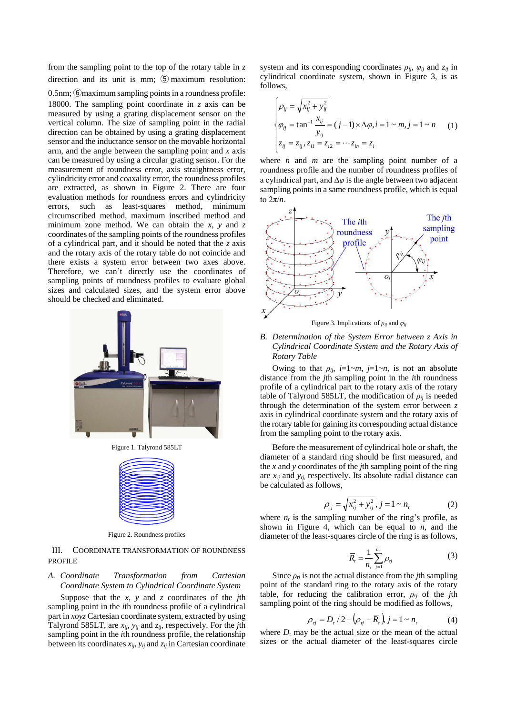from the sampling point to the top of the rotary table in *z* direction and its unit is mm; ⑤ maximum resolution:

0.5nm; ⑥maximum sampling points in a roundness profile: 18000. The sampling point coordinate in *z* axis can be measured by using a grating displacement sensor on the vertical column. The size of sampling point in the radial direction can be obtained by using a grating displacement sensor and the inductance sensor on the movable horizontal arm, and the angle between the sampling point and *x* axis can be measured by using a circular grating sensor. For the measurement of roundness error, axis straightness error, cylindricity error and coaxality error, the roundness profiles are extracted, as shown in Figure 2. There are four evaluation methods for roundness errors and cylindricity errors, such as least-squares method, minimum circumscribed method, maximum inscribed method and minimum zone method. We can obtain the  $x$ ,  $y$  and  $z$ coordinates of the sampling points of the roundness profiles of a cylindrical part, and it should be noted that the *z* axis and the rotary axis of the rotary table do not coincide and there exists a system error between two axes above. Therefore, we can't directly use the coordinates of sampling points of roundness profiles to evaluate global sizes and calculated sizes, and the system error above should be checked and eliminated.



Figure 1. Talyrond 585LT



Figure 2. Roundness profiles

III. COORDINATE TRANSFORMATION OF ROUNDNESS **PROFILE** 

### *A. Coordinate Transformation from Cartesian Coordinate System to Cylindrical Coordinate System*

Suppose that the *x*, *y* and *z* coordinates of the *j*th sampling point in the *i*th roundness profile of a cylindrical part in *xoyz* Cartesian coordinate system, extracted by using Talyrond 585LT, are *xij*, *yij* and *zij*, respectively. For the *j*th sampling point in the *i*th roundness profile, the relationship between its coordinates  $x_{ij}$ ,  $y_{ij}$  and  $z_{ij}$  in Cartesian coordinate system and its corresponding coordinates  $\rho_{ij}$ ,  $\varphi_{ij}$  and  $z_{ij}$  in cylindrical coordinate system, shown in Figure 3, is as follows,

$$
\begin{cases}\n\rho_{ij} = \sqrt{x_{ij}^2 + y_{ij}^2} \\
\varphi_{ij} = \tan^{-1} \frac{x_{ij}}{y_{ij}} = (j-1) \times \Delta \varphi, i = 1 \sim m, j = 1 \sim n \\
z_{ij} = z_{ij}, z_{i1} = z_{i2} = \cdots z_{in} = z_i\n\end{cases}
$$
\n(1)

where *n* and *m* are the sampling point number of a roundness profile and the number of roundness profiles of a cylindrical part, and Δ*φ* is the angle between two adjacent sampling points in a same roundness profile, which is equal to 2π/*n*.



*B. Determination of the System Error between z Axis in Cylindrical Coordinate System and the Rotary Axis of Rotary Table*

Owing to that  $\rho_{ij}$ ,  $i=1 \sim m$ ,  $j=1 \sim n$ , is not an absolute distance from the *j*th sampling point in the *i*th roundness profile of a cylindrical part to the rotary axis of the rotary table of Talyrond 585LT, the modification of  $\rho_{ij}$  is needed through the determination of the system error between *z* axis in cylindrical coordinate system and the rotary axis of the rotary table for gaining its corresponding actual distance from the sampling point to the rotary axis.

Before the measurement of cylindrical hole or shaft, the diameter of a standard ring should be first measured, and the *x* and *y* coordinates of the *j*th sampling point of the ring are  $x_{rj}$  and  $y_{rj}$ , respectively. Its absolute radial distance can be calculated as follows,

$$
\rho_{\rm rj} = \sqrt{x_{\rm rj}^2 + y_{\rm rj}^2}, \, j = 1 \sim n_{\rm r} \tag{2}
$$

where  $n_r$  is the sampling number of the ring's profile, as shown in Figure 4, which can be equal to *n*, and the diameter of the least-squares circle of the ring is as follows,

$$
\overline{R}_{\rm r} = \frac{1}{n_{\rm r}} \sum_{j=1}^{n_{\rm r}} \rho_{\rm rj} \tag{3}
$$

Since  $\rho$ <sub>*rj*</sub> is not the actual distance from the *j*th sampling point of the standard ring to the rotary axis of the rotary table, for reducing the calibration error,  $\rho_{rj}$  of the *j*th sampling point of the ring should be modified as follows,

$$
\rho_{cj} = D_{r} / 2 + \left(\rho_{rj} - \overline{R}_{r}\right), j = 1 \sim n_{r} \tag{4}
$$

where  $D_r$  may be the actual size or the mean of the actual sizes or the actual diameter of the least-squares circle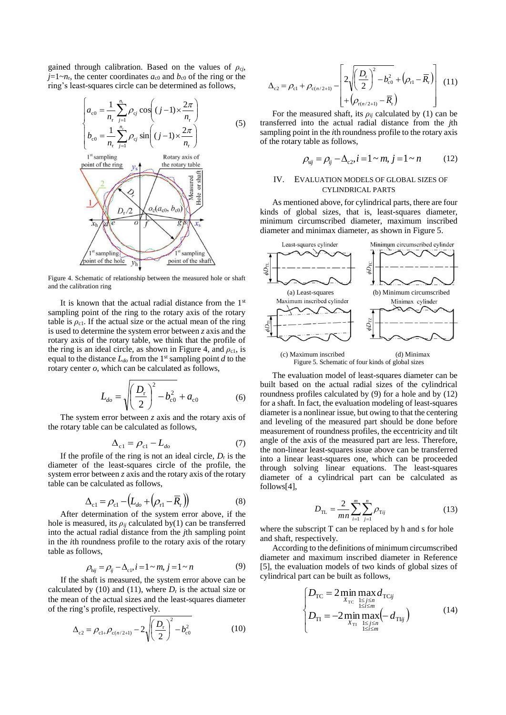gained through calibration. Based on the values of  $\rho_{cj}$ ,  $j=1~n_r$ , the center coordinates  $a_{c0}$  and  $b_{c0}$  of the ring or the ring's least-squares circle can be determined as follows,

$$
\begin{cases}\na_{c0} = \frac{1}{n_r} \sum_{j=1}^{n_r} \rho_{cj} \cos\left((j-1) \times \frac{2\pi}{n_r}\right) \\
b_{c0} = \frac{1}{n_r} \sum_{j=1}^{n_r} \rho_{cj} \sin\left((j-1) \times \frac{2\pi}{n_r}\right) \\
\text{1st sampling} \\
\text{point of the ring} \\
y_s\n\end{cases}
$$
\n(5)  
\n
$$
y_s
$$
\n(6)  
\n7<sub>th</sub> *A Q Q Q Q Q Q Q Q Q Q Q Q Q Q Q Q Q Q Q Q Q Q Q Q Q Q Q Q Q Q Q Q Q Q Q Q Q Q Q Q Q Q Q Q Q Q Q Q Q Q Q Q Q Q Q Q Q Q Q Q Q Q Q Q Q Q Q Q Q Q Q Q Q Q Q Q Q Q Q Q Q Q* <

 $\frac{1}{2}$ sampling

point of the shaft

Figure 4. Schematic of relationship between the measured hole or shaft and the calibration ring

st sampling

point of the hole

It is known that the actual radial distance from the  $1<sup>st</sup>$ sampling point of the ring to the rotary axis of the rotary table is  $\rho_{c1}$ . If the actual size or the actual mean of the ring is used to determine the system error between *z* axis and the rotary axis of the rotary table, we think that the profile of the ring is an ideal circle, as shown in Figure 4, and  $\rho_{c1}$ , is equal to the distance  $L_{d0}$  from the 1<sup>st</sup> sampling point *d* to the rotary center *o*, which can be calculated as follows,

$$
L_{do} = \sqrt{\left(\frac{D_{\rm r}}{2}\right)^2 - b_{\rm c0}^2 + a_{\rm c0}}\tag{6}
$$

The system error between *z* axis and the rotary axis of the rotary table can be calculated as follows,

$$
\Delta_{c1} = \rho_{c1} - L_{do} \tag{7}
$$

If the profile of the ring is not an ideal circle, *D*<sup>r</sup> is the diameter of the least-squares circle of the profile, the system error between *z* axis and the rotary axis of the rotary table can be calculated as follows,

$$
\Delta_{\rm cl} = \rho_{\rm cl} - \left( L_{\rm do} + \left( \rho_{\rm rl} - \overline{R}_{\rm r} \right) \right) \tag{8}
$$

After determination of the system error above, if the hole is measured, its  $\rho_{ij}$  calculated by(1) can be transferred into the actual radial distance from the *j*th sampling point in the *i*th roundness profile to the rotary axis of the rotary table as follows,

$$
\rho_{hij} = \rho_{ij} - \Delta_{c1}, i = 1 \sim m, j = 1 \sim n \tag{9}
$$

If the shaft is measured, the system error above can be calculated by (10) and (11), where  $D_r$  is the actual size or the mean of the actual sizes and the least-squares diameter of the ring's profile, respectively.

$$
\Delta_{c2} = \rho_{c1+} \rho_{c(n/2+1)} - 2\sqrt{\left(\frac{D_r}{2}\right)^2 - b_{c0}^2}
$$
 (10)

$$
\Delta_{c2} = \rho_{c1} + \rho_{c(n/2+1)} - \left[ 2\sqrt{\left(\frac{D_r}{2}\right)^2 - b_{c0}^2} + \left(\rho_{r1} - \overline{R}_r\right) \right] (11)
$$
\n
$$
+ \left(\rho_{r(n/2+1)} - \overline{R}_r\right)
$$

For the measured shaft, its  $\rho_{ij}$  calculated by (1) can be transferred into the actual radial distance from the *j*th sampling point in the *i*th roundness profile to the rotary axis of the rotary table as follows,

$$
\rho_{sij} = \rho_{ij} - \Delta_{c2}, i = 1 \sim m, j = 1 \sim n \tag{12}
$$

# IV. EVALUATION MODELS OF GLOBAL SIZES OF CYLINDRICAL PARTS

As mentioned above, for cylindrical parts, there are four kinds of global sizes, that is, least-squares diameter, minimum circumscribed diameter, maximum inscribed diameter and minimax diameter, as shown in Figure 5.



Figure 5. Schematic of four kinds of global sizes

The evaluation model of least-squares diameter can be built based on the actual radial sizes of the cylindrical roundness profiles calculated by (9) for a hole and by (12) for a shaft. In fact, the evaluation modeling of least-squares diameter is a nonlinear issue, but owing to that the centering and leveling of the measured part should be done before measurement of roundness profiles, the eccentricity and tilt angle of the axis of the measured part are less. Therefore, the non-linear least-squares issue above can be transferred into a linear least-squares one, which can be proceeded through solving linear equations. The least-squares diameter of a cylindrical part can be calculated as follows[4],

$$
D_{\text{TL}} = \frac{2}{mn} \sum_{i=1}^{m} \sum_{j=1}^{n} \rho_{\text{T}ij}
$$
 (13)

where the subscript T can be replaced by h and s for hole and shaft, respectively.

According to the definitions of minimum circumscribed diameter and maximum inscribed diameter in Reference [5], the evaluation models of two kinds of global sizes of cylindrical part can be built as follows,

$$
\begin{cases}\nD_{\text{TC}} = 2 \min_{X_{\text{TC}}} \max_{\substack{1 \le j \le n \\ 1 \le i \le m}} d_{\text{TC}ij} \\
D_{\text{TI}} = -2 \min_{X_{\text{TI}}} \max_{\substack{1 \le j \le n \\ 1 \le i \le m}} (-d_{\text{TI}ij})\n\end{cases} (14)
$$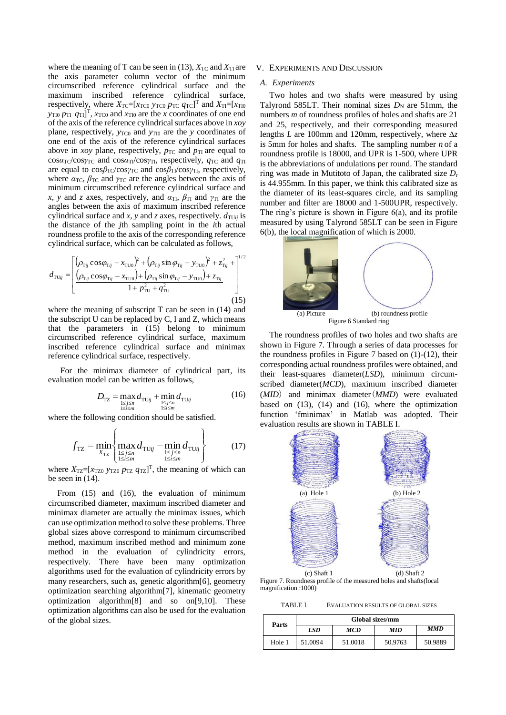where the meaning of T can be seen in (13),  $X_{TC}$  and  $X_{TI}$  are the axis parameter column vector of the minimum circumscribed reference cylindrical surface and the maximum inscribed reference cylindrical surface, respectively, where  $X_{\text{TC}}=[x_{\text{TC0}} y_{\text{TC0}} p_{\text{TC}} q_{\text{TC}}]^{\text{T}}$  and  $X_{\text{TI}}=[x_{\text{TI0}}$ *y*<sub>TI0</sub>  $p_{\text{TI}}$   $q_{\text{TI}}$ <sup>T</sup>,  $x_{\text{TC0}}$  and  $x_{\text{TI0}}$  are the *x* coordinates of one end of the axis of the reference cylindrical surfaces above in *xoy* plane, respectively,  $y_{TC0}$  and  $y_{T10}$  are the *y* coordinates of one end of the axis of the reference cylindrical surfaces above in *xoy* plane, respectively,  $p_{TC}$  and  $p_{TI}$  are equal to cosα<sub>TC</sub>/cosγ<sub>TC</sub> and cosα<sub>TI</sub>/cosγ<sub>TI</sub>, respectively,  $q_{TC}$  and  $q_{TI}$ are equal to  $cosβ_{TC}/cosγ_{TC}$  and  $cosβ_{T1}/cosγ_{TI}$ , respectively, where  $\alpha_{TC}$ ,  $\beta_{TC}$  and  $\gamma_{TC}$  are the angles between the axis of minimum circumscribed reference cylindrical surface and *x*, *y* and *z* axes, respectively, and  $\alpha_{\text{TI}}$ ,  $\beta_{\text{TI}}$  and  $\gamma_{\text{TI}}$  are the angles between the axis of maximum inscribed reference cylindrical surface and *x*, *y* and *z* axes, respectively.  $d_{\text{TU}ij}$  is the distance of the *j*th sampling point in the *i*th actual roundness profile to the axis of the corresponding reference cylindrical surface, which can be calculated as follows,

$$
d_{\text{TUij}} = \left[ \frac{(\rho_{\text{Tij}} \cos \varphi_{\text{Tij}} - x_{\text{TU0}})^2 + (\rho_{\text{Tij}} \sin \varphi_{\text{Tij}} - y_{\text{TU0}})^2 + z_{\text{Tij}}^2 + \frac{1}{2}}{1 + \frac{\rho_{\text{Tij}}^2 \cos \varphi_{\text{Tij}} - x_{\text{TU0}} + (\rho_{\text{Tij}} \sin \varphi_{\text{Tij}} - y_{\text{TU0}}) + z_{\text{Tij}}}{1 + \frac{\rho_{\text{TU}}^2}{1 + \frac{\rho_{\text{TU}}^2}{1 + \frac{\rho_{\text{TU}}^2}{1 + \frac{\rho_{\text{TU}}^2}{1 + \frac{\rho_{\text{TU}}^2}{1 + \frac{\rho_{\text{TU}}^2}{1 + \frac{\rho_{\text{TU}}^2}{1 + \frac{\rho_{\text{TU}}^2}{1 + \frac{\rho_{\text{TU}}^2}{1 + \frac{\rho_{\text{TU}}^2}{1 + \frac{\rho_{\text{TU}}^2}{1 + \frac{\rho_{\text{TU}}^2}{1 + \frac{\rho_{\text{TU}}^2}{1 + \frac{\rho_{\text{TU}}^2}{1 + \frac{\rho_{\text{TU}}^2}{1 + \frac{\rho_{\text{TU}}^2}{1 + \frac{\rho_{\text{TU}}^2}{1 + \frac{\rho_{\text{TU}}^2}{1 + \frac{\rho_{\text{TU}}^2}{1 + \frac{\rho_{\text{TU}}^2}{1 + \frac{\rho_{\text{TU}}^2}{1 + \frac{\rho_{\text{TU}}^2}{1 + \frac{\rho_{\text{TU}}^2}{1 + \frac{\rho_{\text{TU}}^2}{1 + \frac{\rho_{\text{TU}}^2}{1 + \frac{\rho_{\text{TU}}^2}{1 + \frac{\rho_{\text{TU}}^2}{1 + \frac{\rho_{\text{TU}}^2}{1 + \frac{\rho_{\text{TU}}^2}{1 + \frac{\rho_{\text{TU}}^2}{1 + \frac{\rho_{\text{TU}}^2}{1 + \frac{\rho_{\text{TU}}^2}{1 + \frac{\rho_{\text{TU}}^2}{1 + \frac{\rho_{\text{TU}}^2}{1 + \frac{\rho_{\text{TU}}^2}{1 + \frac{\rho_{\text{TU}}^2}{1 + \frac{\rho_{\text{TU}}^2}{1 + \frac{\rho_{\text{TU}}^2}{1 + \frac{\rho_{\text{TU}}^2}{1 + \frac{\rho
$$

where the meaning of subscript  $T$  can be seen in (14) and the subscript U can be replaced by C, I and Z, which means that the parameters in (15) belong to minimum circumscribed reference cylindrical surface, maximum inscribed reference cylindrical surface and minimax reference cylindrical surface, respectively.

For the minimax diameter of cylindrical part, its evaluation model can be written as follows,

$$
D_{\text{TZ}} = \max_{\substack{1 \le j \le n \\ 1 \le i \le m}} d_{\text{TUij}} + \min_{\substack{1 \le j \le n \\ 1 \le i \le m}} d_{\text{TUij}} \tag{16}
$$

where the following condition should be satisfied.

$$
f_{\text{TZ}} = \min_{X_{\text{TZ}}} \left\{ \max_{\substack{1 \le j \le n \\ 1 \le i \le m}} d_{\text{TUij}} - \min_{\substack{1 \le j \le n \\ 1 \le i \le m}} d_{\text{TUij}} \right\} \tag{17}
$$

where  $X_{\text{TZ}} = [x_{\text{TZ0}} y_{\text{TZ0}} p_{\text{TZ}} q_{\text{TZ}}]^{\text{T}}$ , the meaning of which can be seen in (14).

From (15) and (16), the evaluation of minimum circumscribed diameter, maximum inscribed diameter and minimax diameter are actually the minimax issues, which can use optimization method to solve these problems. Three global sizes above correspond to minimum circumscribed method, maximum inscribed method and minimum zone method in the evaluation of cylindricity errors, respectively. There have been many optimization algorithms used for the evaluation of cylindricity errors by many researchers, such as, genetic algorithm[6], geometry optimization searching algorithm[7], kinematic geometry optimization algorithm[8] and so on[9,10]. These optimization algorithms can also be used for the evaluation of the global sizes.

## V. EXPERIMENTS AND DISCUSSION

#### *A. Experiments*

Two holes and two shafts were measured by using Talyrond 585LT. Their nominal sizes  $D_N$  are 51mm, the numbers *m* of roundness profiles of holes and shafts are 21 and 25, respectively, and their corresponding measured lengths *L* are 100mm and 120mm, respectively, where ∆*z* is 5mm for holes and shafts. The sampling number *n* of a roundness profile is 18000, and UPR is 1-500, where UPR is the abbreviations of undulations per round. The standard ring was made in Mutitoto of Japan, the calibrated size *D*<sup>r</sup> is 44.955mm. In this paper, we think this calibrated size as the diameter of its least-squares circle, and its sampling number and filter are 18000 and 1-500UPR, respectively. The ring's picture is shown in Figure 6(a), and its profile measured by using Talyrond 585LT can be seen in Figure 6(b), the local magnification of which is 2000.



Figure 6 Standard ring

The roundness profiles of two holes and two shafts are shown in Figure 7. Through a series of data processes for the roundness profiles in Figure 7 based on (1)-(12), their corresponding actual roundness profiles were obtained, and their least-squares diameter(*LSD*), minimum circumscribed diameter(*MCD*), maximum inscribed diameter (*MID*) and minimax diameter(*MMD*) were evaluated based on (13), (14) and (16), where the optimization function 'fminimax' in Matlab was adopted. Their evaluation results are shown in TABLE I.



Figure 7. Roundness profile of the measured holes and shafts(local magnification :1000)

TABLE I. EVALUATION RESULTS OF GLOBAL SIZES

| Parts  | Global sizes/mm |         |            |            |  |
|--------|-----------------|---------|------------|------------|--|
|        | LSD             | MCD     | <b>MID</b> | <b>MMD</b> |  |
| Hole 1 | 51.0094         | 51.0018 | 50.9763    | 50.9889    |  |